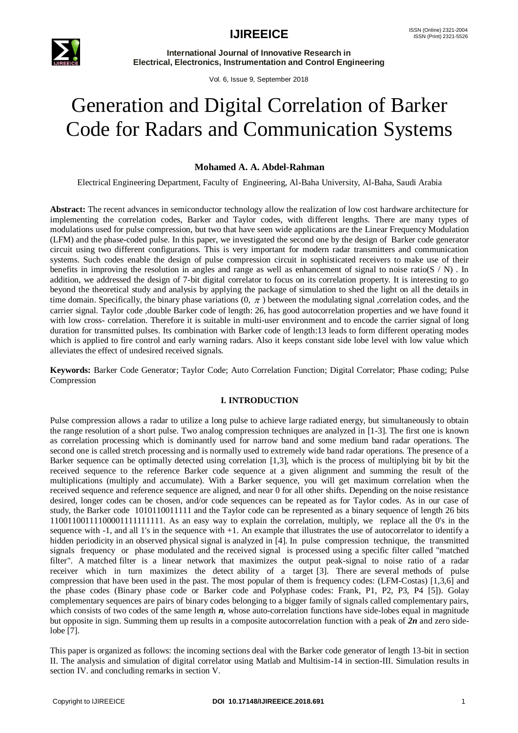

Vol. 6, Issue 9, September 2018

# Generation and Digital Correlation of Barker Code for Radars and Communication Systems

### **Mohamed A. A. Abdel-Rahman**

Electrical Engineering Department, Faculty of Engineering, Al-Baha University, Al-Baha, Saudi Arabia

**Abstract:** The recent advances in semiconductor technology allow the realization of low cost hardware architecture for implementing the correlation codes, Barker and Taylor codes, with different lengths. There are many types of modulations used for pulse compression, but two that have seen wide applications are the Linear Frequency Modulation (LFM) and the phase-coded pulse. In this paper, we investigated the second one by the design of Barker code generator circuit using two different configurations. This is very important for modern radar transmitters and communication systems. Such codes enable the design of pulse compression circuit in sophisticated receivers to make use of their benefits in improving the resolution in angles and range as well as enhancement of signal to noise ratio( $S / N$ ). In addition, we addressed the design of 7-bit digital correlator to focus on its correlation property. It is interesting to go beyond the theoretical study and analysis by applying the package of simulation to shed the light on all the details in time domain. Specifically, the binary phase variations  $(0, \pi)$  between the modulating signal, correlation codes, and the carrier signal. Taylor code ,double Barker code of length: 26, has good autocorrelation properties and we have found it with low cross- correlation. Therefore it is suitable in multi-user environment and to encode the carrier signal of long duration for transmitted pulses. Its combination with Barker code of length:13 leads to form different operating modes which is applied to fire control and early warning radars. Also it keeps constant side lobe level with low value which alleviates the effect of undesired received signals.

**Keywords:** Barker Code Generator; Taylor Code; Auto Correlation Function; Digital Correlator; Phase coding; Pulse Compression

### **I. INTRODUCTION**

Pulse compression allows a radar to utilize a long pulse to achieve large radiated energy, but simultaneously to obtain the range resolution of a short pulse. Two analog compression techniques are analyzed in [1-3]. The first one is known as correlation processing which is dominantly used for narrow band and some medium band radar operations. The second one is called stretch processing and is normally used to extremely wide band radar operations. The presence of a Barker sequence can be optimally detected using correlation [1,3], which is the process of multiplying bit by bit the received sequence to the reference Barker code sequence at a given alignment and summing the result of the multiplications (multiply and accumulate). With a Barker sequence, you will get maximum correlation when the received sequence and reference sequence are aligned, and near 0 for all other shifts. Depending on the noise resistance desired, longer codes can be chosen, and/or code sequences can be repeated as for Taylor codes. As in our case of study, the Barker code 1010110011111 and the Taylor code can be represented as a binary sequence of length 26 bits 11001100111100001111111111. As an easy way to explain the correlation, multiply, we replace all the 0's in the sequence with -1, and all 1's in the sequence with +1. An example that illustrates the use of autocorrelator to identify a hidden periodicity in an observed physical signal is analyzed in [4]. In pulse compression technique, the transmitted signals frequency or phase modulated and the received signal is processed using a specific filter called "matched filter". A matched filter is a linear network that maximizes the output peak-signal to noise ratio of a radar receiver which in turn maximizes the detect ability of a target [3]. There are several methods of pulse compression that have been used in the past. The most popular of them is frequency codes: (LFM-Costas) [1,3,6] and the phase codes (Binary phase code or Barker code and Polyphase codes: Frank, P1, P2, P3, P4 [5]). Golay complementary sequences are pairs of binary codes belonging to a bigger family of signals called complementary pairs, which consists of two codes of the same length *n*, whose auto-correlation functions have side-lobes equal in magnitude but opposite in sign. Summing them up results in a composite autocorrelation function with a peak of *2n* and zero sidelobe [7].

This paper is organized as follows: the incoming sections deal with the Barker code generator of length 13-bit in section II. The analysis and simulation of digital correlator using Matlab and Multisim-14 in section-III. Simulation results in section IV. and concluding remarks in section V.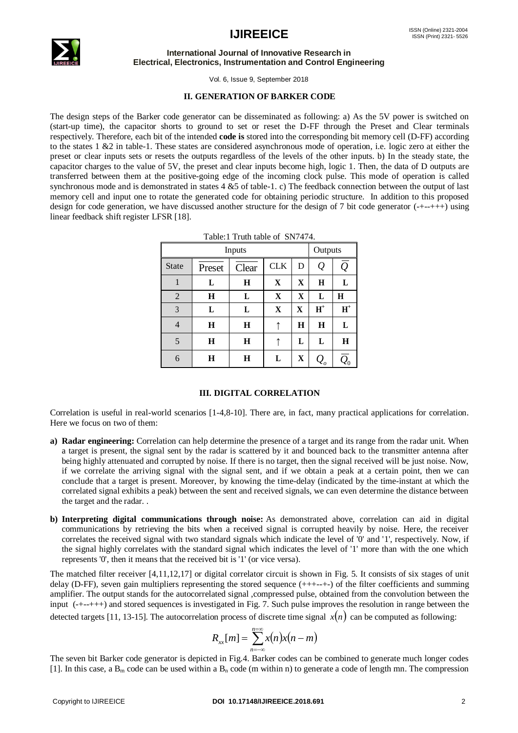

Vol. 6, Issue 9, September 2018

#### **II. GENERATION OF BARKER CODE**

The design steps of the Barker code generator can be disseminated as following: a) As the 5V power is switched on (start-up time), the capacitor shorts to ground to set or reset the D-FF through the Preset and Clear terminals respectively. Therefore, each bit of the intended **code is** stored into the corresponding bit memory cell (D-FF) according to the states 1 &2 in table-1. These states are considered asynchronous mode of operation, i.e. logic zero at either the preset or clear inputs sets or resets the outputs regardless of the levels of the other inputs. b) In the steady state, the capacitor charges to the value of 5V, the preset and clear inputs become high, logic 1. Then, the data of D outputs are transferred between them at the positive-going edge of the incoming clock pulse. This mode of operation is called synchronous mode and is demonstrated in states 4 &5 of table-1. c) The feedback connection between the output of last memory cell and input one to rotate the generated code for obtaining periodic structure. In addition to this proposed design for code generation, we have discussed another structure for the design of 7 bit code generator (-+--+++) using linear feedback shift register LFSR [18].

| $1$ able. I full table of $5N/4/4$ . |             |             |             |             |                 |                      |
|--------------------------------------|-------------|-------------|-------------|-------------|-----------------|----------------------|
| <b>Inputs</b>                        |             |             | Outputs     |             |                 |                      |
| <b>State</b>                         | Preset      | Clear       | <b>CLK</b>  | D           | Q               | $\overline{\varrho}$ |
| 1                                    | L           | $\mathbf H$ | $\mathbf X$ | $\mathbf X$ | $\mathbf H$     | L                    |
| $\overline{2}$                       | $\mathbf H$ | L           | $\mathbf X$ | $\mathbf X$ | L               | $\bf H$              |
| 3                                    | L           | L           | $\mathbf X$ | X           | $\mathbf{H}^+$  | $H^+$                |
| $\overline{4}$                       | $\mathbf H$ | $\mathbf H$ |             | $\bf H$     | $\mathbf H$     | L                    |
| 5                                    | $\bf H$     | $\bf H$     |             | L           | L               | $\mathbf H$          |
| 6                                    | H           | H           | L           | X           | $\mathcal{Q}_o$ |                      |

Table:1 Truth table of SN7474.

#### **III. DIGITAL CORRELATION**

Correlation is useful in real-world scenarios [1-4,8-10]. There are, in fact, many practical applications for correlation. Here we focus on two of them:

- **a) Radar engineering:** Correlation can help determine the presence of a target and its range from the radar unit. When a target is present, the signal sent by the radar is scattered by it and bounced back to the transmitter antenna after being highly attenuated and corrupted by noise. If there is no target, then the signal received will be just noise. Now, if we correlate the arriving signal with the signal sent, and if we obtain a peak at a certain point, then we can conclude that a target is present. Moreover, by knowing the time-delay (indicated by the time-instant at which the correlated signal exhibits a peak) between the sent and received signals, we can even determine the distance between the target and the radar. .
- **b) Interpreting digital communications through noise:** As demonstrated above, correlation can aid in digital communications by retrieving the bits when a received signal is corrupted heavily by noise. Here, the receiver correlates the received signal with two standard signals which indicate the level of '0' and '1', respectively. Now, if the signal highly correlates with the standard signal which indicates the level of '1' more than with the one which represents '0', then it means that the received bit is '1' (or vice versa).

The matched filter receiver [4,11,12,17] or digital correlator circuit is shown in Fig. 5. It consists of six stages of unit delay (D-FF), seven gain multipliers representing the stored sequence (+++--+-) of the filter coefficients and summing amplifier. The output stands for the autocorrelated signal ,compressed pulse, obtained from the convolution between the input (-+--+++) and stored sequences is investigated in Fig. 7. Such pulse improves the resolution in range between the detected targets [11, 13-15]. The autocorrelation process of discrete time signal  $x(n)$  can be computed as following:

$$
R_{xx}[m] = \sum_{n=-\infty}^{n=\infty} x(n)x(n-m)
$$

The seven bit Barker code generator is depicted in Fig.4. Barker codes can be combined to generate much longer codes [1]. In this case, a  $B_m$  code can be used within a  $B_n$  code (m within n) to generate a code of length mn. The compression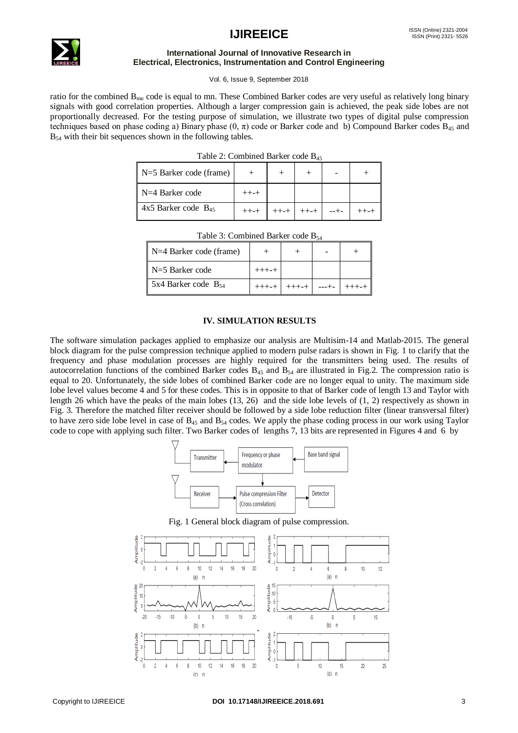## **IJIREEICE** ISSN (Online)  $2321-2004$



#### **International Journal of Innovative Research in Electrical, Electronics, Instrumentation and Control Engineering**

Vol. 6, Issue 9, September 2018

ratio for the combined  $B_{mn}$  code is equal to mn. These Combined Barker codes are very useful as relatively long binary signals with good correlation properties. Although a larger compression gain is achieved, the peak side lobes are not proportionally decreased. For the testing purpose of simulation, we illustrate two types of digital pulse compression techniques based on phase coding a) Binary phase  $(0, \pi)$  code or Barker code and b) Compound Barker codes  $B_{45}$  and B<sub>54</sub> with their bit sequences shown in the following tables.

|  | Table 2: Combined Barker code B <sub>45</sub> |  |  |  |
|--|-----------------------------------------------|--|--|--|
|--|-----------------------------------------------|--|--|--|

| $N=5$ Barker code (frame)  |  |  |  |
|----------------------------|--|--|--|
| $N=4$ Barker code          |  |  |  |
| $4x5$ Barker code $B_{45}$ |  |  |  |

| $N=4$ Barker code (frame) |  |  |  |  |  |
|---------------------------|--|--|--|--|--|
| $N=5$ Barker code         |  |  |  |  |  |
| 5x4 Barker code $B_{54}$  |  |  |  |  |  |

Table  $3:$  Combined Barker code  $B_5$ .

#### **IV. SIMULATION RESULTS**

The software simulation packages applied to emphasize our analysis are Multisim-14 and Matlab-2015. The general block diagram for the pulse compression technique applied to modern pulse radars is shown in Fig. 1 to clarify that the frequency and phase modulation processes are highly required for the transmitters being used. The results of autocorrelation functions of the combined Barker codes  $B_{45}$  and  $B_{54}$  are illustrated in Fig.2. The compression ratio is equal to 20. Unfortunately, the side lobes of combined Barker code are no longer equal to unity. The maximum side lobe level values become 4 and 5 for these codes. This is in opposite to that of Barker code of length 13 and Taylor with length 26 which have the peaks of the main lobes (13, 26) and the side lobe levels of (1, 2) respectively as shown in Fig. 3. Therefore the matched filter receiver should be followed by a side lobe reduction filter (linear transversal filter) to have zero side lobe level in case of  $B_{45}$  and  $B_{54}$  codes. We apply the phase coding process in our work using Taylor code to cope with applying such filter. Two Barker codes of lengths 7, 13 bits are represented in Figures 4 and 6 by





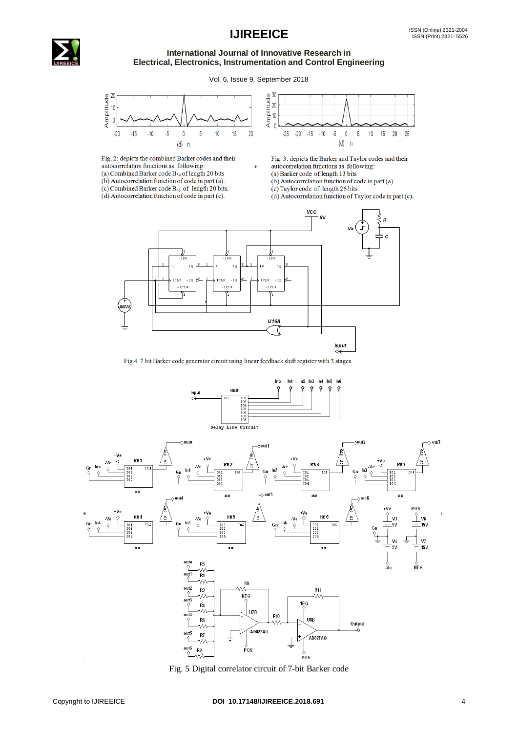

Vol. 6, Issue 9, September 2018



Fig. 2: depicts the combined Barker codes and their autocorrelation functions as following: (a) Combined Barker code  $B_{54}$  of length 20 bits (b) Autocorrelation function of code in part (a). (c) Combined Barker code  $B_{45}$  of length 20 bits.  $(d)$  Autocorrelation function of code in part (c).



Fig. 3: depicts the Barker and Taylor codes and their autocorrelation functions as following:

- (a) Barker code of length 13 bits
- (b) Autocorrelation function of code in part (a).
- (c) Taylor code of length 26 bits.

(d) Autocorrelation function of Taylor code in part (c).



Fig.4 7 bit Barker code generator circuit using linear feedback shift register with 3 stages.



Fig. 5 Digital correlator circuit of 7-bit Barker code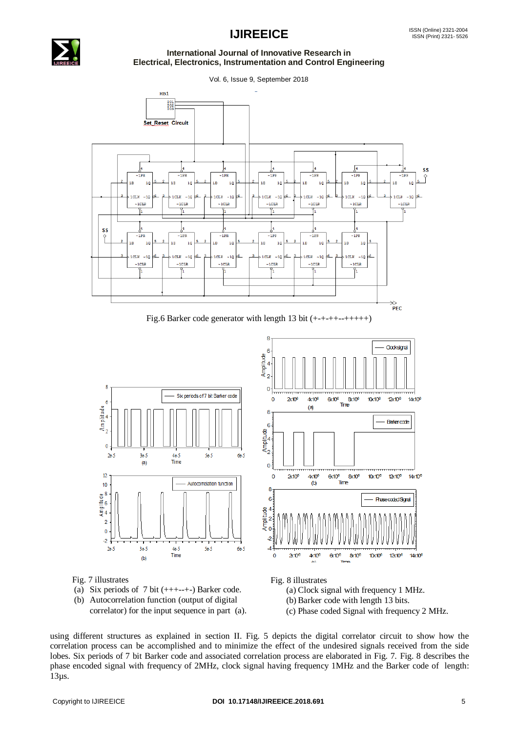



Vol. 6, Issue 9, September 2018



Fig.6 Barker code generator with length 13 bit (+-+-++--+++++)

-g



Fig. 7 illustrates



(b) Autocorrelation function (output of digital correlator) for the input sequence in part (a). (a) Clock signal with frequency 1 MHz.

(b) Barker code with length 13 bits.

(c) Phase coded Signal with frequency 2 MHz.

using different structures as explained in section II. Fig. 5 depicts the digital correlator circuit to show how the correlation process can be accomplished and to minimize the effect of the undesired signals received from the side lobes. Six periods of 7 bit Barker code and associated correlation process are elaborated in Fig. 7. Fig. 8 describes the phase encoded signal with frequency of 2MHz, clock signal having frequency 1MHz and the Barker code of length: 13µs.